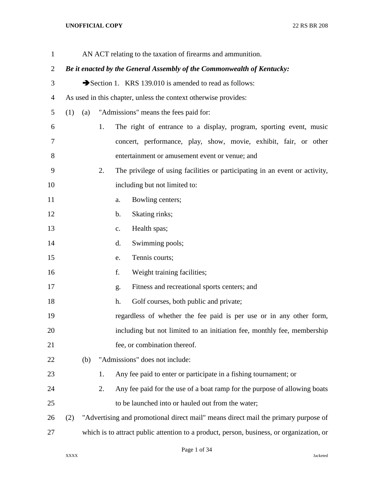| $\mathbf{1}$ | AN ACT relating to the taxation of firearms and ammunition.            |     |    |                                                                                          |  |  |
|--------------|------------------------------------------------------------------------|-----|----|------------------------------------------------------------------------------------------|--|--|
| 2            | Be it enacted by the General Assembly of the Commonwealth of Kentucky: |     |    |                                                                                          |  |  |
| 3            | Section 1. KRS 139.010 is amended to read as follows:                  |     |    |                                                                                          |  |  |
| 4            |                                                                        |     |    | As used in this chapter, unless the context otherwise provides:                          |  |  |
| 5            | (1)                                                                    | (a) |    | "Admissions" means the fees paid for:                                                    |  |  |
| 6            |                                                                        |     | 1. | The right of entrance to a display, program, sporting event, music                       |  |  |
| 7            |                                                                        |     |    | concert, performance, play, show, movie, exhibit, fair, or other                         |  |  |
| 8            |                                                                        |     |    | entertainment or amusement event or venue; and                                           |  |  |
| 9            |                                                                        |     | 2. | The privilege of using facilities or participating in an event or activity,              |  |  |
| 10           |                                                                        |     |    | including but not limited to:                                                            |  |  |
| 11           |                                                                        |     |    | Bowling centers;<br>a.                                                                   |  |  |
| 12           |                                                                        |     |    | Skating rinks;<br>b.                                                                     |  |  |
| 13           |                                                                        |     |    | Health spas;<br>$\mathbf{c}$ .                                                           |  |  |
| 14           |                                                                        |     |    | Swimming pools;<br>d.                                                                    |  |  |
| 15           |                                                                        |     |    | Tennis courts;<br>e.                                                                     |  |  |
| 16           |                                                                        |     |    | f.<br>Weight training facilities;                                                        |  |  |
| 17           |                                                                        |     |    | Fitness and recreational sports centers; and<br>g.                                       |  |  |
| 18           |                                                                        |     |    | Golf courses, both public and private;<br>h.                                             |  |  |
| 19           |                                                                        |     |    | regardless of whether the fee paid is per use or in any other form,                      |  |  |
| 20           |                                                                        |     |    | including but not limited to an initiation fee, monthly fee, membership                  |  |  |
| 21           |                                                                        |     |    | fee, or combination thereof.                                                             |  |  |
| 22           |                                                                        | (b) |    | "Admissions" does not include:                                                           |  |  |
| 23           |                                                                        |     | 1. | Any fee paid to enter or participate in a fishing tournament; or                         |  |  |
| 24           |                                                                        |     | 2. | Any fee paid for the use of a boat ramp for the purpose of allowing boats                |  |  |
| 25           |                                                                        |     |    | to be launched into or hauled out from the water;                                        |  |  |
| 26           | (2)                                                                    |     |    | "Advertising and promotional direct mail" means direct mail the primary purpose of       |  |  |
| 27           |                                                                        |     |    | which is to attract public attention to a product, person, business, or organization, or |  |  |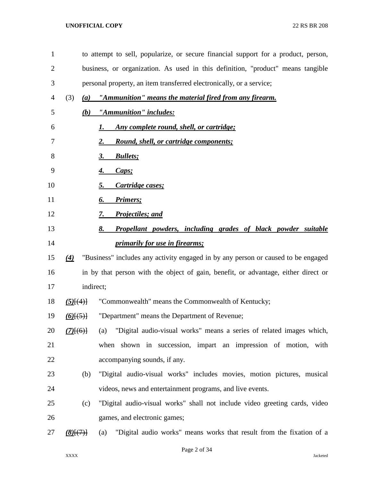| $\mathbf{1}$   | to attempt to sell, popularize, or secure financial support for a product, person, |                                                                                    |  |  |  |  |
|----------------|------------------------------------------------------------------------------------|------------------------------------------------------------------------------------|--|--|--|--|
| $\overline{2}$ |                                                                                    | business, or organization. As used in this definition, "product" means tangible    |  |  |  |  |
| 3              |                                                                                    | personal property, an item transferred electronically, or a service;               |  |  |  |  |
| 4              | (3)<br>(a)                                                                         | "Ammunition" means the material fired from any firearm.                            |  |  |  |  |
| 5              | (b)                                                                                | <u>"Ammunition" includes:</u>                                                      |  |  |  |  |
| 6              |                                                                                    | <u>Any complete round, shell, or cartridge;</u>                                    |  |  |  |  |
| 7              |                                                                                    | <b>Round, shell, or cartridge components;</b><br>2.                                |  |  |  |  |
| 8              |                                                                                    | 3.<br><b>Bullets</b> ;                                                             |  |  |  |  |
| 9              |                                                                                    | Caps;<br>4.                                                                        |  |  |  |  |
| 10             |                                                                                    | Cartridge cases;<br>5.                                                             |  |  |  |  |
| 11             |                                                                                    | Primers;<br>6.                                                                     |  |  |  |  |
| 12             |                                                                                    | <b>Projectiles; and</b><br>7.                                                      |  |  |  |  |
| 13             |                                                                                    | Propellant powders, including grades of black powder suitable<br>8.                |  |  |  |  |
| 14             |                                                                                    | <i><u><b>primarily for use in firearms;</b></u></i>                                |  |  |  |  |
| 15             | (4)                                                                                | "Business" includes any activity engaged in by any person or caused to be engaged  |  |  |  |  |
| 16             |                                                                                    | in by that person with the object of gain, benefit, or advantage, either direct or |  |  |  |  |
| 17             |                                                                                    | indirect;                                                                          |  |  |  |  |
| 18             | $(5)$ $(4)$                                                                        | "Commonwealth" means the Commonwealth of Kentucky;                                 |  |  |  |  |
| 19             | $(6)$ [ $(5)$ ]                                                                    | "Department" means the Department of Revenue;                                      |  |  |  |  |
| 20             | $(7)$ $(6)$ }                                                                      | "Digital audio-visual works" means a series of related images which,<br>(a)        |  |  |  |  |
| 21             |                                                                                    | when shown in succession, impart an impression of motion, with                     |  |  |  |  |
| 22             |                                                                                    | accompanying sounds, if any.                                                       |  |  |  |  |
| 23             | (b)                                                                                | "Digital audio-visual works" includes movies, motion pictures, musical             |  |  |  |  |
| 24             |                                                                                    | videos, news and entertainment programs, and live events.                          |  |  |  |  |
| 25             | (c)                                                                                | "Digital audio-visual works" shall not include video greeting cards, video         |  |  |  |  |
| 26             |                                                                                    | games, and electronic games;                                                       |  |  |  |  |
| 27             | (8)(7)                                                                             | "Digital audio works" means works that result from the fixation of a<br>(a)        |  |  |  |  |

Page 2 of 34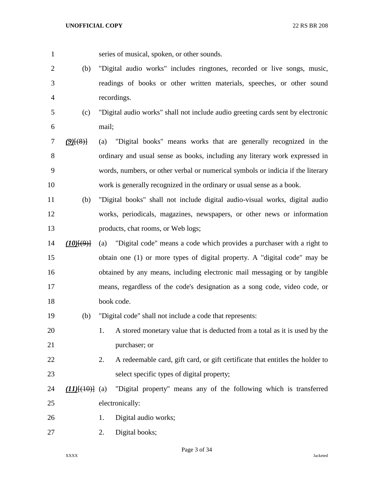series of musical, spoken, or other sounds.

- (b) "Digital audio works" includes ringtones, recorded or live songs, music, readings of books or other written materials, speeches, or other sound recordings.
- 
- (c) "Digital audio works" shall not include audio greeting cards sent by electronic mail;
- *(9)*[(8)] (a) "Digital books" means works that are generally recognized in the ordinary and usual sense as books, including any literary work expressed in words, numbers, or other verbal or numerical symbols or indicia if the literary work is generally recognized in the ordinary or usual sense as a book.
- (b) "Digital books" shall not include digital audio-visual works, digital audio works, periodicals, magazines, newspapers, or other news or information products, chat rooms, or Web logs;
- *(10)*[(9)] (a) "Digital code" means a code which provides a purchaser with a right to obtain one (1) or more types of digital property. A "digital code" may be obtained by any means, including electronic mail messaging or by tangible means, regardless of the code's designation as a song code, video code, or book code.
- (b) "Digital code" shall not include a code that represents:
- 1. A stored monetary value that is deducted from a total as it is used by the 21 purchaser; or
- 2. A redeemable card, gift card, or gift certificate that entitles the holder to select specific types of digital property;
- *(11)*[(10)] (a) "Digital property" means any of the following which is transferred electronically:
- 26 1. Digital audio works;
- 2. Digital books;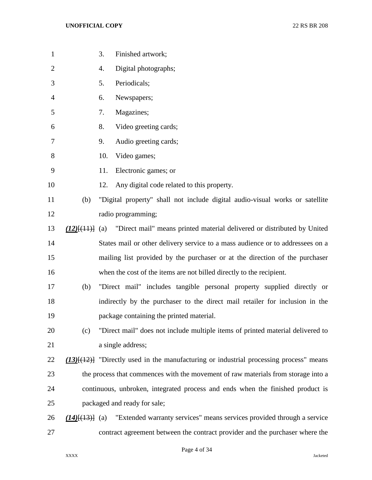| $\mathbf{1}$   |                                             | 3.<br>Finished artwork;                                                                       |
|----------------|---------------------------------------------|-----------------------------------------------------------------------------------------------|
| $\overline{2}$ |                                             | Digital photographs;<br>4.                                                                    |
| 3              |                                             | 5.<br>Periodicals;                                                                            |
| 4              |                                             | Newspapers;<br>6.                                                                             |
| 5              |                                             | Magazines;<br>7.                                                                              |
| 6              |                                             | 8.<br>Video greeting cards;                                                                   |
| 7              |                                             | Audio greeting cards;<br>9.                                                                   |
| 8              |                                             | Video games;<br>10.                                                                           |
| 9              |                                             | 11.<br>Electronic games; or                                                                   |
| 10             |                                             | 12.<br>Any digital code related to this property.                                             |
| 11             | (b)                                         | "Digital property" shall not include digital audio-visual works or satellite                  |
| 12             |                                             | radio programming;                                                                            |
| 13             | $(12)$ $\left[\frac{(11)}{(11)}\right]$ (a) | "Direct mail" means printed material delivered or distributed by United                       |
| 14             |                                             | States mail or other delivery service to a mass audience or to addressees on a                |
| 15             |                                             | mailing list provided by the purchaser or at the direction of the purchaser                   |
| 16             |                                             | when the cost of the items are not billed directly to the recipient.                          |
| 17             | (b)                                         | "Direct mail" includes tangible personal property supplied directly or                        |
| 18             |                                             | indirectly by the purchaser to the direct mail retailer for inclusion in the                  |
| 19             |                                             | package containing the printed material.                                                      |
| 20             | (c)                                         | "Direct mail" does not include multiple items of printed material delivered to                |
| 21             |                                             | a single address;                                                                             |
| 22             |                                             | $(13)$ [ $(12)$ ] "Directly used in the manufacturing or industrial processing process" means |
| 23             |                                             | the process that commences with the movement of raw materials from storage into a             |
| 24             |                                             | continuous, unbroken, integrated process and ends when the finished product is                |
| 25             |                                             | packaged and ready for sale;                                                                  |
| 26             | $(14)$ [(13)] (a)                           | "Extended warranty services" means services provided through a service                        |
| 27             |                                             | contract agreement between the contract provider and the purchaser where the                  |

Page 4 of 34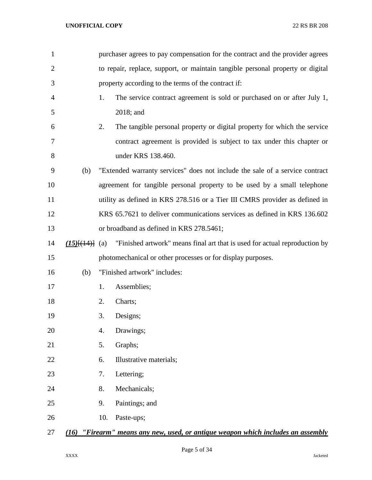| 1              |                        |     | purchaser agrees to pay compensation for the contract and the provider agrees  |
|----------------|------------------------|-----|--------------------------------------------------------------------------------|
| $\overline{2}$ |                        |     | to repair, replace, support, or maintain tangible personal property or digital |
| 3              |                        |     | property according to the terms of the contract if:                            |
| 4              |                        | 1.  | The service contract agreement is sold or purchased on or after July 1,        |
| 5              |                        |     | 2018; and                                                                      |
| 6              |                        | 2.  | The tangible personal property or digital property for which the service       |
| 7              |                        |     | contract agreement is provided is subject to tax under this chapter or         |
| 8              |                        |     | under KRS 138.460.                                                             |
| 9              | (b)                    |     | "Extended warranty services" does not include the sale of a service contract   |
| 10             |                        |     | agreement for tangible personal property to be used by a small telephone       |
| 11             |                        |     | utility as defined in KRS 278.516 or a Tier III CMRS provider as defined in    |
| 12             |                        |     | KRS 65.7621 to deliver communications services as defined in KRS 136.602       |
| 13             |                        |     | or broadband as defined in KRS 278.5461;                                       |
| 14             | $(15)$ $\{ (14)$ $(2)$ |     | "Finished artwork" means final art that is used for actual reproduction by     |
| 15             |                        |     | photomechanical or other processes or for display purposes.                    |
| 16             | (b)                    |     | "Finished artwork" includes:                                                   |
| 17             |                        | 1.  | Assemblies;                                                                    |
| 18             |                        | 2.  | Charts;                                                                        |
| 19             |                        | 3.  | Designs;                                                                       |
| 20             |                        | 4.  | Drawings;                                                                      |
| 21             |                        | 5.  | Graphs;                                                                        |
| 22             |                        | 6.  | Illustrative materials;                                                        |
| 23             |                        | 7.  | Lettering;                                                                     |
| 24             |                        | 8.  | Mechanicals;                                                                   |
| 25             |                        | 9.  | Paintings; and                                                                 |
| 26             |                        | 10. | Paste-ups;                                                                     |
| 27             | (16)                   |     | "Firearm" means any new, used, or antique weapon which includes an assembly    |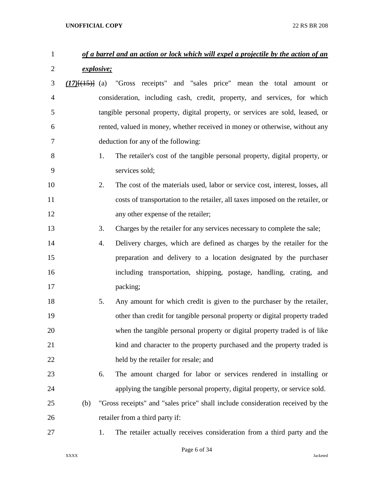# *of a barrel and an action or lock which will expel a projectile by the action of an explosive;*

- *(17)*[(15)] (a) "Gross receipts" and "sales price" mean the total amount or consideration, including cash, credit, property, and services, for which tangible personal property, digital property, or services are sold, leased, or rented, valued in money, whether received in money or otherwise, without any deduction for any of the following:
- 1. The retailer's cost of the tangible personal property, digital property, or services sold;
- 2. The cost of the materials used, labor or service cost, interest, losses, all costs of transportation to the retailer, all taxes imposed on the retailer, or any other expense of the retailer;
- 3. Charges by the retailer for any services necessary to complete the sale;
- 4. Delivery charges, which are defined as charges by the retailer for the preparation and delivery to a location designated by the purchaser including transportation, shipping, postage, handling, crating, and 17 packing;
- 5. Any amount for which credit is given to the purchaser by the retailer, other than credit for tangible personal property or digital property traded when the tangible personal property or digital property traded is of like 21 kind and character to the property purchased and the property traded is held by the retailer for resale; and
- 6. The amount charged for labor or services rendered in installing or applying the tangible personal property, digital property, or service sold.
- (b) "Gross receipts" and "sales price" shall include consideration received by the retailer from a third party if:
- 
- 1. The retailer actually receives consideration from a third party and the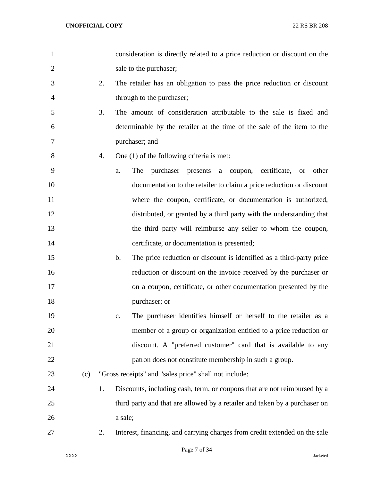| $\mathbf{1}$   |     |    | consideration is directly related to a price reduction or discount on the         |
|----------------|-----|----|-----------------------------------------------------------------------------------|
| $\overline{2}$ |     |    | sale to the purchaser;                                                            |
| 3              |     | 2. | The retailer has an obligation to pass the price reduction or discount            |
| 4              |     |    | through to the purchaser;                                                         |
| 5              |     | 3. | The amount of consideration attributable to the sale is fixed and                 |
| 6              |     |    | determinable by the retailer at the time of the sale of the item to the           |
| 7              |     |    | purchaser; and                                                                    |
| 8              |     | 4. | One $(1)$ of the following criteria is met:                                       |
| 9              |     |    | The<br>purchaser<br>presents a coupon, certificate,<br>other<br>a.<br><b>or</b>   |
| 10             |     |    | documentation to the retailer to claim a price reduction or discount              |
| 11             |     |    | where the coupon, certificate, or documentation is authorized,                    |
| 12             |     |    | distributed, or granted by a third party with the understanding that              |
| 13             |     |    | the third party will reimburse any seller to whom the coupon,                     |
| 14             |     |    | certificate, or documentation is presented;                                       |
| 15             |     |    | The price reduction or discount is identified as a third-party price<br>b.        |
| 16             |     |    | reduction or discount on the invoice received by the purchaser or                 |
| 17             |     |    | on a coupon, certificate, or other documentation presented by the                 |
| 18             |     |    | purchaser; or                                                                     |
| 19             |     |    | The purchaser identifies himself or herself to the retailer as a<br>$C_{\bullet}$ |
| 20             |     |    | member of a group or organization entitled to a price reduction or                |
| 21             |     |    | discount. A "preferred customer" card that is available to any                    |
| 22             |     |    | patron does not constitute membership in such a group.                            |
| 23             | (c) |    | "Gross receipts" and "sales price" shall not include:                             |
| 24             |     | 1. | Discounts, including cash, term, or coupons that are not reimbursed by a          |
| 25             |     |    | third party and that are allowed by a retailer and taken by a purchaser on        |
| 26             |     |    | a sale;                                                                           |
| 27             |     | 2. | Interest, financing, and carrying charges from credit extended on the sale        |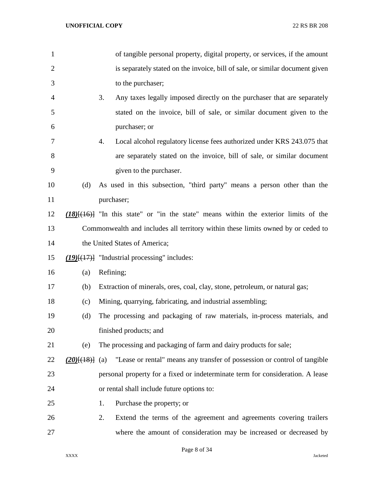| $\mathbf{1}$   |                   |            | of tangible personal property, digital property, or services, if the amount                 |
|----------------|-------------------|------------|---------------------------------------------------------------------------------------------|
| $\overline{2}$ |                   |            | is separately stated on the invoice, bill of sale, or similar document given                |
| 3              |                   |            | to the purchaser;                                                                           |
| $\overline{4}$ |                   | 3.         | Any taxes legally imposed directly on the purchaser that are separately                     |
| 5              |                   |            | stated on the invoice, bill of sale, or similar document given to the                       |
| 6              |                   |            | purchaser; or                                                                               |
| 7              |                   | 4.         | Local alcohol regulatory license fees authorized under KRS 243.075 that                     |
| 8              |                   |            | are separately stated on the invoice, bill of sale, or similar document                     |
| 9              |                   |            | given to the purchaser.                                                                     |
| 10             | (d)               |            | As used in this subsection, "third party" means a person other than the                     |
| 11             |                   | purchaser; |                                                                                             |
| 12             |                   |            | $(18)$ [ $(16)$ ] "In this state" or "in the state" means within the exterior limits of the |
| 13             |                   |            | Commonwealth and includes all territory within these limits owned by or ceded to            |
| 14             |                   |            | the United States of America;                                                               |
| 15             |                   |            | $(19)$ [ $(17)$ ] "Industrial processing" includes:                                         |
| 16             | (a)               | Refining;  |                                                                                             |
| 17             | (b)               |            | Extraction of minerals, ores, coal, clay, stone, petroleum, or natural gas;                 |
| 18             | (c)               |            | Mining, quarrying, fabricating, and industrial assembling;                                  |
| 19             | (d)               |            | The processing and packaging of raw materials, in-process materials, and                    |
| 20             |                   |            | finished products; and                                                                      |
| 21             | (e)               |            | The processing and packaging of farm and dairy products for sale;                           |
| 22             | $(20)$ $(18)$ (a) |            | "Lease or rental" means any transfer of possession or control of tangible                   |
| 23             |                   |            | personal property for a fixed or indeterminate term for consideration. A lease              |
| 24             |                   |            | or rental shall include future options to:                                                  |
| 25             |                   | 1.         | Purchase the property; or                                                                   |
| 26             |                   | 2.         | Extend the terms of the agreement and agreements covering trailers                          |
| 27             |                   |            | where the amount of consideration may be increased or decreased by                          |

Page 8 of 34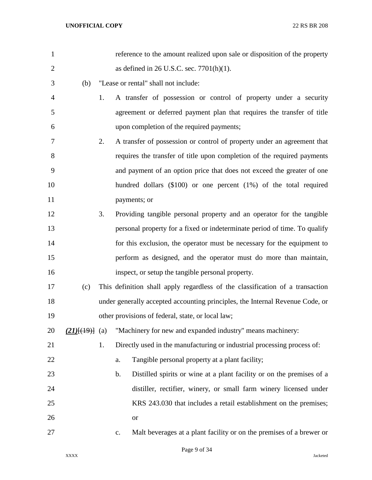| 1              |                |    | reference to the amount realized upon sale or disposition of the property             |
|----------------|----------------|----|---------------------------------------------------------------------------------------|
| $\overline{2}$ |                |    | as defined in 26 U.S.C. sec. $7701(h)(1)$ .                                           |
| 3              | (b)            |    | "Lease or rental" shall not include:                                                  |
| 4              |                | 1. | A transfer of possession or control of property under a security                      |
| 5              |                |    | agreement or deferred payment plan that requires the transfer of title                |
| 6              |                |    | upon completion of the required payments;                                             |
| 7              |                | 2. | A transfer of possession or control of property under an agreement that               |
| 8              |                |    | requires the transfer of title upon completion of the required payments               |
| 9              |                |    | and payment of an option price that does not exceed the greater of one                |
| 10             |                |    | hundred dollars (\$100) or one percent (1%) of the total required                     |
| 11             |                |    | payments; or                                                                          |
| 12             |                | 3. | Providing tangible personal property and an operator for the tangible                 |
| 13             |                |    | personal property for a fixed or indeterminate period of time. To qualify             |
| 14             |                |    | for this exclusion, the operator must be necessary for the equipment to               |
| 15             |                |    | perform as designed, and the operator must do more than maintain,                     |
| 16             |                |    | inspect, or setup the tangible personal property.                                     |
| 17             | (c)            |    | This definition shall apply regardless of the classification of a transaction         |
| 18             |                |    | under generally accepted accounting principles, the Internal Revenue Code, or         |
| 19             |                |    | other provisions of federal, state, or local law;                                     |
| 20             | $(21)(19)$ (a) |    | "Machinery for new and expanded industry" means machinery:                            |
| 21             |                | 1. | Directly used in the manufacturing or industrial processing process of:               |
| 22             |                |    | Tangible personal property at a plant facility;<br>a.                                 |
| 23             |                |    | Distilled spirits or wine at a plant facility or on the premises of a<br>b.           |
| 24             |                |    | distiller, rectifier, winery, or small farm winery licensed under                     |
| 25             |                |    | KRS 243.030 that includes a retail establishment on the premises;                     |
| 26             |                |    | <b>or</b>                                                                             |
| 27             |                |    | Malt beverages at a plant facility or on the premises of a brewer or<br>$C_{\bullet}$ |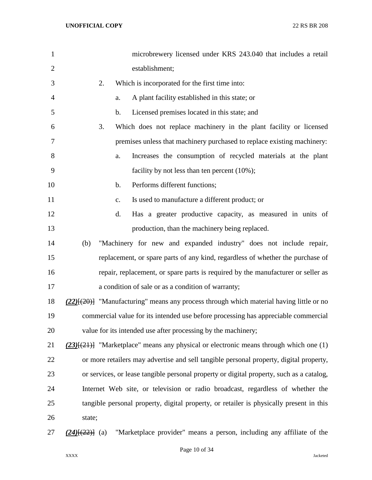| $\mathbf{1}$   |                       |               | microbrewery licensed under KRS 243.040 that includes a retail                                 |
|----------------|-----------------------|---------------|------------------------------------------------------------------------------------------------|
| $\overline{2}$ |                       |               | establishment;                                                                                 |
| 3              | 2.                    |               | Which is incorporated for the first time into:                                                 |
| $\overline{4}$ |                       | a.            | A plant facility established in this state; or                                                 |
| 5              |                       | b.            | Licensed premises located in this state; and                                                   |
| 6              | 3.                    |               | Which does not replace machinery in the plant facility or licensed                             |
| 7              |                       |               | premises unless that machinery purchased to replace existing machinery:                        |
| 8              |                       | a.            | Increases the consumption of recycled materials at the plant                                   |
| 9              |                       |               | facility by not less than ten percent $(10\%)$ ;                                               |
| 10             |                       | $\mathbf b$ . | Performs different functions;                                                                  |
| 11             |                       | c.            | Is used to manufacture a different product; or                                                 |
| 12             |                       | d.            | Has a greater productive capacity, as measured in units of                                     |
| 13             |                       |               | production, than the machinery being replaced.                                                 |
| 14             | (b)                   |               | "Machinery for new and expanded industry" does not include repair,                             |
| 15             |                       |               | replacement, or spare parts of any kind, regardless of whether the purchase of                 |
| 16             |                       |               | repair, replacement, or spare parts is required by the manufacturer or seller as               |
| 17             |                       |               | a condition of sale or as a condition of warranty;                                             |
| 18             |                       |               | $(22)$ { $(20)$ } "Manufacturing" means any process through which material having little or no |
| 19             |                       |               | commercial value for its intended use before processing has appreciable commercial             |
| 20             |                       |               | value for its intended use after processing by the machinery;                                  |
| 21             |                       |               | $(23)(21)$ "Marketplace" means any physical or electronic means through which one (1)          |
| 22             |                       |               | or more retailers may advertise and sell tangible personal property, digital property,         |
| 23             |                       |               | or services, or lease tangible personal property or digital property, such as a catalog,       |
| 24             |                       |               | Internet Web site, or television or radio broadcast, regardless of whether the                 |
| 25             |                       |               | tangible personal property, digital property, or retailer is physically present in this        |
| 26             | state;                |               |                                                                                                |
| 27             | $(24)$ [ $(22)$ ] (a) |               | "Marketplace provider" means a person, including any affiliate of the                          |

Page 10 of 34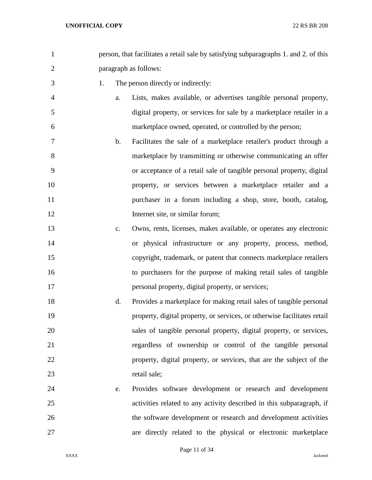- person, that facilitates a retail sale by satisfying subparagraphs 1. and 2. of this paragraph as follows:
- 1. The person directly or indirectly:
- a. Lists, makes available, or advertises tangible personal property, digital property, or services for sale by a marketplace retailer in a marketplace owned, operated, or controlled by the person;
- b. Facilitates the sale of a marketplace retailer's product through a marketplace by transmitting or otherwise communicating an offer or acceptance of a retail sale of tangible personal property, digital property, or services between a marketplace retailer and a purchaser in a forum including a shop, store, booth, catalog, 12 Internet site, or similar forum;
- c. Owns, rents, licenses, makes available, or operates any electronic or physical infrastructure or any property, process, method, copyright, trademark, or patent that connects marketplace retailers to purchasers for the purpose of making retail sales of tangible personal property, digital property, or services;
- d. Provides a marketplace for making retail sales of tangible personal property, digital property, or services, or otherwise facilitates retail sales of tangible personal property, digital property, or services, regardless of ownership or control of the tangible personal property, digital property, or services, that are the subject of the 23 retail sale:
- e. Provides software development or research and development activities related to any activity described in this subparagraph, if the software development or research and development activities are directly related to the physical or electronic marketplace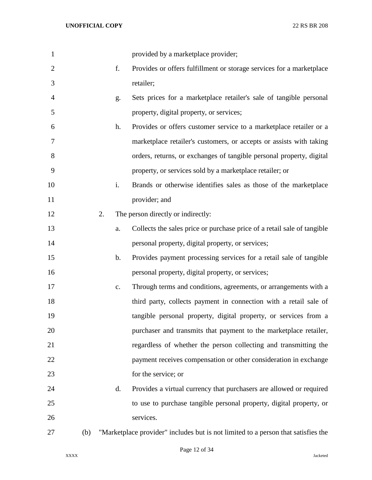| $\mathbf{1}$   |     |    |    | provided by a marketplace provider;                                               |
|----------------|-----|----|----|-----------------------------------------------------------------------------------|
| $\overline{2}$ |     |    | f. | Provides or offers fulfillment or storage services for a marketplace              |
| 3              |     |    |    | retailer;                                                                         |
| 4              |     |    | g. | Sets prices for a marketplace retailer's sale of tangible personal                |
| 5              |     |    |    | property, digital property, or services;                                          |
| 6              |     |    | h. | Provides or offers customer service to a marketplace retailer or a                |
| 7              |     |    |    | marketplace retailer's customers, or accepts or assists with taking               |
| 8              |     |    |    | orders, returns, or exchanges of tangible personal property, digital              |
| 9              |     |    |    | property, or services sold by a marketplace retailer; or                          |
| 10             |     |    | i. | Brands or otherwise identifies sales as those of the marketplace                  |
| 11             |     |    |    | provider; and                                                                     |
| 12             |     | 2. |    | The person directly or indirectly:                                                |
| 13             |     |    | a. | Collects the sales price or purchase price of a retail sale of tangible           |
| 14             |     |    |    | personal property, digital property, or services;                                 |
| 15             |     |    | b. | Provides payment processing services for a retail sale of tangible                |
| 16             |     |    |    | personal property, digital property, or services;                                 |
| 17             |     |    | c. | Through terms and conditions, agreements, or arrangements with a                  |
| 18             |     |    |    | third party, collects payment in connection with a retail sale of                 |
| 19             |     |    |    | tangible personal property, digital property, or services from a                  |
| 20             |     |    |    | purchaser and transmits that payment to the marketplace retailer,                 |
| 21             |     |    |    | regardless of whether the person collecting and transmitting the                  |
| 22             |     |    |    | payment receives compensation or other consideration in exchange                  |
| 23             |     |    |    | for the service; or                                                               |
| 24             |     |    | d. | Provides a virtual currency that purchasers are allowed or required               |
| 25             |     |    |    | to use to purchase tangible personal property, digital property, or               |
| 26             |     |    |    | services.                                                                         |
| 27             | (b) |    |    | "Marketplace provider" includes but is not limited to a person that satisfies the |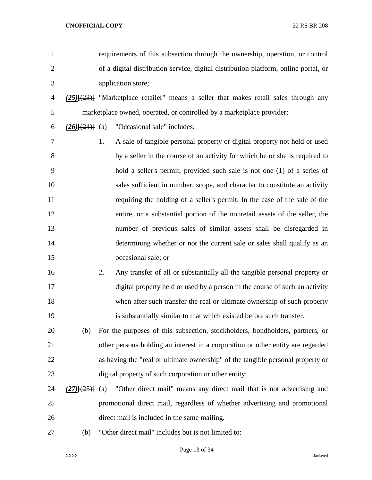requirements of this subsection through the ownership, operation, or control of a digital distribution service, digital distribution platform, online portal, or application store;

- *(25)*[(23)] "Marketplace retailer" means a seller that makes retail sales through any marketplace owned, operated, or controlled by a marketplace provider;
- *(26)*[(24)] (a) "Occasional sale" includes:
- 1. A sale of tangible personal property or digital property not held or used by a seller in the course of an activity for which he or she is required to hold a seller's permit, provided such sale is not one (1) of a series of sales sufficient in number, scope, and character to constitute an activity requiring the holding of a seller's permit. In the case of the sale of the entire, or a substantial portion of the nonretail assets of the seller, the number of previous sales of similar assets shall be disregarded in determining whether or not the current sale or sales shall qualify as an occasional sale; or
- 2. Any transfer of all or substantially all the tangible personal property or digital property held or used by a person in the course of such an activity when after such transfer the real or ultimate ownership of such property is substantially similar to that which existed before such transfer.
- (b) For the purposes of this subsection, stockholders, bondholders, partners, or other persons holding an interest in a corporation or other entity are regarded as having the "real or ultimate ownership" of the tangible personal property or digital property of such corporation or other entity;
- *(27)*[(25)] (a) "Other direct mail" means any direct mail that is not advertising and promotional direct mail, regardless of whether advertising and promotional direct mail is included in the same mailing.
- (b) "Other direct mail" includes but is not limited to: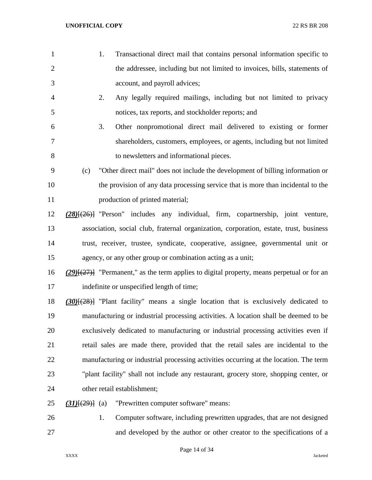- 1. Transactional direct mail that contains personal information specific to the addressee, including but not limited to invoices, bills, statements of account, and payroll advices;
- 2. Any legally required mailings, including but not limited to privacy notices, tax reports, and stockholder reports; and
- 3. Other nonpromotional direct mail delivered to existing or former shareholders, customers, employees, or agents, including but not limited to newsletters and informational pieces.
- (c) "Other direct mail" does not include the development of billing information or the provision of any data processing service that is more than incidental to the **production of printed material;**
- *(28)*[(26)] "Person" includes any individual, firm, copartnership, joint venture, association, social club, fraternal organization, corporation, estate, trust, business trust, receiver, trustee, syndicate, cooperative, assignee, governmental unit or agency, or any other group or combination acting as a unit;
- *(29)*[(27)] "Permanent," as the term applies to digital property, means perpetual or for an indefinite or unspecified length of time;
- *(30)*[(28)] "Plant facility" means a single location that is exclusively dedicated to manufacturing or industrial processing activities. A location shall be deemed to be exclusively dedicated to manufacturing or industrial processing activities even if retail sales are made there, provided that the retail sales are incidental to the manufacturing or industrial processing activities occurring at the location. The term "plant facility" shall not include any restaurant, grocery store, shopping center, or other retail establishment;
- *(31)*[(29)] (a) "Prewritten computer software" means:
- 1. Computer software, including prewritten upgrades, that are not designed and developed by the author or other creator to the specifications of a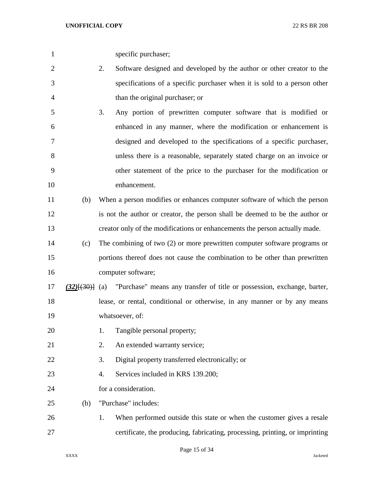| $\mathbf{1}$   |                              |    | specific purchaser;                                                          |
|----------------|------------------------------|----|------------------------------------------------------------------------------|
| $\overline{2}$ |                              | 2. | Software designed and developed by the author or other creator to the        |
| 3              |                              |    | specifications of a specific purchaser when it is sold to a person other     |
| 4              |                              |    | than the original purchaser; or                                              |
| 5              |                              | 3. | Any portion of prewritten computer software that is modified or              |
| 6              |                              |    | enhanced in any manner, where the modification or enhancement is             |
| 7              |                              |    | designed and developed to the specifications of a specific purchaser,        |
| 8              |                              |    | unless there is a reasonable, separately stated charge on an invoice or      |
| 9              |                              |    | other statement of the price to the purchaser for the modification or        |
| 10             |                              |    | enhancement.                                                                 |
| 11             | (b)                          |    | When a person modifies or enhances computer software of which the person     |
| 12             |                              |    | is not the author or creator, the person shall be deemed to be the author or |
| 13             |                              |    | creator only of the modifications or enhancements the person actually made.  |
| 14             | (c)                          |    | The combining of two $(2)$ or more prewritten computer software programs or  |
| 15             |                              |    | portions thereof does not cause the combination to be other than prewritten  |
| 16             |                              |    | computer software;                                                           |
| 17             | $(32)$ <del>[(30)]</del> (a) |    | "Purchase" means any transfer of title or possession, exchange, barter,      |
| 18             |                              |    | lease, or rental, conditional or otherwise, in any manner or by any means    |
| 19             |                              |    | whatsoever, of:                                                              |
| 20             |                              | 1. | Tangible personal property;                                                  |
| 21             |                              | 2. | An extended warranty service;                                                |
| 22             |                              | 3. | Digital property transferred electronically; or                              |
| 23             |                              | 4. | Services included in KRS 139.200;                                            |
| 24             |                              |    | for a consideration.                                                         |
| 25             | (b)                          |    | "Purchase" includes:                                                         |
| 26             |                              | 1. | When performed outside this state or when the customer gives a resale        |
| 27             |                              |    | certificate, the producing, fabricating, processing, printing, or imprinting |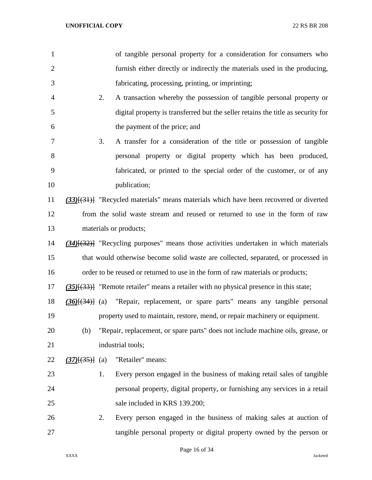| $\mathbf{1}$   |                       |    | of tangible personal property for a consideration for consumers who                           |
|----------------|-----------------------|----|-----------------------------------------------------------------------------------------------|
| $\overline{2}$ |                       |    | furnish either directly or indirectly the materials used in the producing,                    |
| 3              |                       |    | fabricating, processing, printing, or imprinting;                                             |
| $\overline{4}$ |                       | 2. | A transaction whereby the possession of tangible personal property or                         |
| 5              |                       |    | digital property is transferred but the seller retains the title as security for              |
| 6              |                       |    | the payment of the price; and                                                                 |
| 7              |                       | 3. | A transfer for a consideration of the title or possession of tangible                         |
| 8              |                       |    | personal property or digital property which has been produced,                                |
| 9              |                       |    | fabricated, or printed to the special order of the customer, or of any                        |
| 10             |                       |    | publication;                                                                                  |
| 11             |                       |    | $(33)$ { $(31)$ } "Recycled materials" means materials which have been recovered or diverted  |
| 12             |                       |    | from the solid waste stream and reused or returned to use in the form of raw                  |
| 13             |                       |    | materials or products;                                                                        |
| 14             |                       |    | $(34)$ [ $(32)$ ] "Recycling purposes" means those activities undertaken in which materials   |
| 15             |                       |    | that would otherwise become solid waste are collected, separated, or processed in             |
| 16             |                       |    | order to be reused or returned to use in the form of raw materials or products;               |
| 17             |                       |    | $(35)$ { $(33)$ } "Remote retailer" means a retailer with no physical presence in this state; |
| 18             | $(36)$ [ $(34)$ ] (a) |    | "Repair, replacement, or spare parts" means any tangible personal                             |
| 19             |                       |    | property used to maintain, restore, mend, or repair machinery or equipment.                   |
| 20             | (b)                   |    | "Repair, replacement, or spare parts" does not include machine oils, grease, or               |
| 21             |                       |    | industrial tools;                                                                             |
| 22             | $(37)$ $(35)$ $(3)$   |    | "Retailer" means:                                                                             |
| 23             |                       | 1. | Every person engaged in the business of making retail sales of tangible                       |
| 24             |                       |    | personal property, digital property, or furnishing any services in a retail                   |
| 25             |                       |    | sale included in KRS 139.200;                                                                 |
| 26             |                       | 2. | Every person engaged in the business of making sales at auction of                            |
| 27             |                       |    | tangible personal property or digital property owned by the person or                         |

Page 16 of 34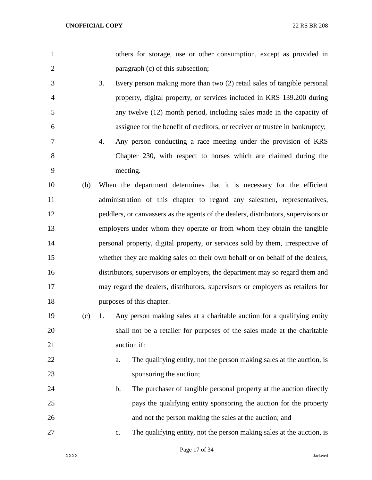| $\mathbf{1}$   |     | others for storage, use or other consumption, except as provided in                     |
|----------------|-----|-----------------------------------------------------------------------------------------|
| $\overline{2}$ |     | paragraph (c) of this subsection;                                                       |
| 3              |     | 3.<br>Every person making more than two (2) retail sales of tangible personal           |
| $\overline{4}$ |     | property, digital property, or services included in KRS 139.200 during                  |
| 5              |     | any twelve (12) month period, including sales made in the capacity of                   |
| 6              |     | assignee for the benefit of creditors, or receiver or trustee in bankruptcy;            |
| 7              |     | Any person conducting a race meeting under the provision of KRS<br>4.                   |
| 8              |     | Chapter 230, with respect to horses which are claimed during the                        |
| 9              |     | meeting.                                                                                |
| 10             | (b) | When the department determines that it is necessary for the efficient                   |
| 11             |     | administration of this chapter to regard any salesmen, representatives,                 |
| 12             |     | peddlers, or canvassers as the agents of the dealers, distributors, supervisors or      |
| 13             |     | employers under whom they operate or from whom they obtain the tangible                 |
| 14             |     | personal property, digital property, or services sold by them, irrespective of          |
| 15             |     | whether they are making sales on their own behalf or on behalf of the dealers,          |
| 16             |     | distributors, supervisors or employers, the department may so regard them and           |
| 17             |     | may regard the dealers, distributors, supervisors or employers as retailers for         |
| 18             |     | purposes of this chapter.                                                               |
| 19             | (c) | Any person making sales at a charitable auction for a qualifying entity<br>1.           |
| 20             |     | shall not be a retailer for purposes of the sales made at the charitable                |
| 21             |     | auction if:                                                                             |
| 22             |     | The qualifying entity, not the person making sales at the auction, is<br>a.             |
| 23             |     | sponsoring the auction;                                                                 |
| 24             |     | The purchaser of tangible personal property at the auction directly<br>b.               |
| 25             |     | pays the qualifying entity sponsoring the auction for the property                      |
| 26             |     | and not the person making the sales at the auction; and                                 |
| 27             |     | The qualifying entity, not the person making sales at the auction, is<br>$\mathbf{c}$ . |
|                |     |                                                                                         |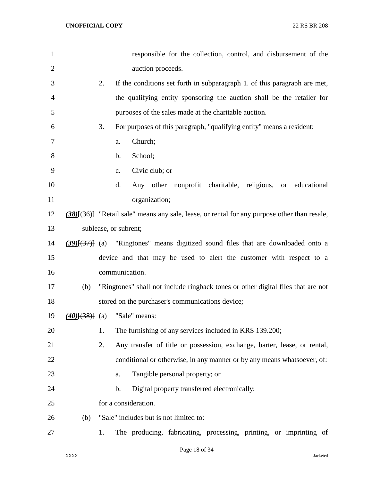| $\mathbf{1}$ |     |    | responsible for the collection, control, and disbursement of the                                          |
|--------------|-----|----|-----------------------------------------------------------------------------------------------------------|
| $\mathbf{2}$ |     |    | auction proceeds.                                                                                         |
| 3            |     | 2. | If the conditions set forth in subparagraph 1. of this paragraph are met,                                 |
| 4            |     |    | the qualifying entity sponsoring the auction shall be the retailer for                                    |
| 5            |     |    | purposes of the sales made at the charitable auction.                                                     |
| 6            |     | 3. | For purposes of this paragraph, "qualifying entity" means a resident:                                     |
| 7            |     |    | Church;<br>a.                                                                                             |
| 8            |     |    | School;<br>$\mathbf b$ .                                                                                  |
| 9            |     |    | Civic club; or<br>c.                                                                                      |
| 10           |     |    | d.<br>Any other nonprofit charitable, religious, or educational                                           |
| 11           |     |    | organization;                                                                                             |
| 12           |     |    | $(38)$ { $(36)$ } "Retail sale" means any sale, lease, or rental for any purpose other than resale,       |
| 13           |     |    | sublease, or subrent;                                                                                     |
| 14           |     |    | $(39)$ $\left(\frac{37}{1}\right)$ (a) "Ringtones" means digitized sound files that are downloaded onto a |
| 15           |     |    | device and that may be used to alert the customer with respect to a                                       |
| 16           |     |    | communication.                                                                                            |
| 17           | (b) |    | "Ringtones" shall not include ringback tones or other digital files that are not                          |
| 18           |     |    | stored on the purchaser's communications device;                                                          |
| 19           |     |    | $(40)$ $(38)$ $(3)$ "Sale" means:                                                                         |
| 20           |     | 1. | The furnishing of any services included in KRS 139.200;                                                   |
| 21           |     | 2. | Any transfer of title or possession, exchange, barter, lease, or rental,                                  |
| 22           |     |    | conditional or otherwise, in any manner or by any means whatsoever, of:                                   |
| 23           |     |    | Tangible personal property; or<br>a.                                                                      |
| 24           |     |    | Digital property transferred electronically;<br>b.                                                        |
| 25           |     |    | for a consideration.                                                                                      |
| 26           | (b) |    | "Sale" includes but is not limited to:                                                                    |
| 27           |     | 1. | The producing, fabricating, processing, printing, or imprinting of                                        |
|              |     |    |                                                                                                           |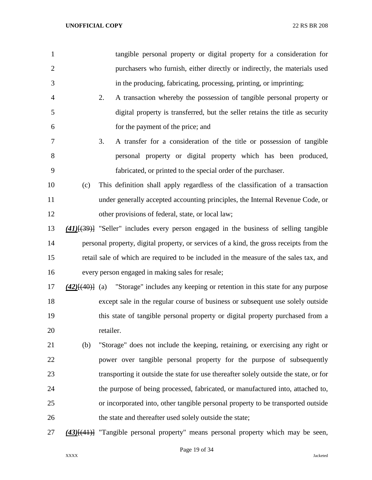| 1              |     | tangible personal property or digital property for a consideration for                               |
|----------------|-----|------------------------------------------------------------------------------------------------------|
| $\overline{2}$ |     | purchasers who furnish, either directly or indirectly, the materials used                            |
| 3              |     | in the producing, fabricating, processing, printing, or imprinting;                                  |
| $\overline{4}$ |     | 2.<br>A transaction whereby the possession of tangible personal property or                          |
| 5              |     | digital property is transferred, but the seller retains the title as security                        |
| 6              |     | for the payment of the price; and                                                                    |
| 7              |     | 3.<br>A transfer for a consideration of the title or possession of tangible                          |
| 8              |     | personal property or digital property which has been produced,                                       |
| 9              |     | fabricated, or printed to the special order of the purchaser.                                        |
| 10             | (c) | This definition shall apply regardless of the classification of a transaction                        |
| 11             |     | under generally accepted accounting principles, the Internal Revenue Code, or                        |
| 12             |     | other provisions of federal, state, or local law;                                                    |
| 13             |     | $(41)$ $(39)$ ] "Seller" includes every person engaged in the business of selling tangible           |
| 14             |     | personal property, digital property, or services of a kind, the gross receipts from the              |
| 15             |     | retail sale of which are required to be included in the measure of the sales tax, and                |
| 16             |     | every person engaged in making sales for resale;                                                     |
| 17             |     | $(42)$ $(40)$ $(40)$ $(3)$ "Storage" includes any keeping or retention in this state for any purpose |
| 18             |     | except sale in the regular course of business or subsequent use solely outside                       |
| 19             |     | this state of tangible personal property or digital property purchased from a                        |
| 20             |     | retailer.                                                                                            |
| 21             | (b) | "Storage" does not include the keeping, retaining, or exercising any right or                        |
| 22             |     | power over tangible personal property for the purpose of subsequently                                |
| 23             |     | transporting it outside the state for use thereafter solely outside the state, or for                |
| 24             |     | the purpose of being processed, fabricated, or manufactured into, attached to,                       |
| 25             |     | or incorporated into, other tangible personal property to be transported outside                     |
| 26             |     | the state and thereafter used solely outside the state;                                              |
| 27             |     | (43)[(41)] "Tangible personal property" means personal property which may be seen,                   |

Page 19 of 34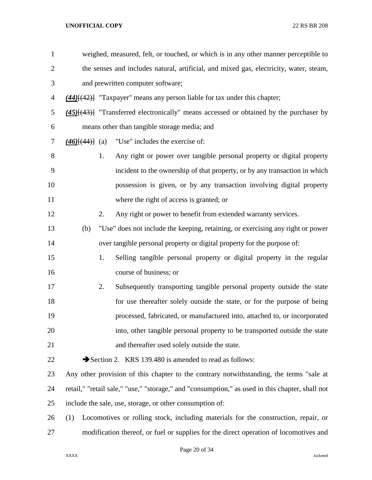| $\mathbf{1}$   |     |    | weighed, measured, felt, or touched, or which is in any other manner perceptible to             |
|----------------|-----|----|-------------------------------------------------------------------------------------------------|
| $\overline{2}$ |     |    | the senses and includes natural, artificial, and mixed gas, electricity, water, steam,          |
| 3              |     |    | and prewritten computer software;                                                               |
| 4              |     |    | $(44)$ [ $(42)$ ] "Taxpayer" means any person liable for tax under this chapter;                |
| 5              |     |    | $(45)$ [ $(43)$ ] "Transferred electronically" means accessed or obtained by the purchaser by   |
| 6              |     |    | means other than tangible storage media; and                                                    |
| 7              |     |    | $(46)$ [ $(44)$ ] (a) "Use" includes the exercise of:                                           |
| 8              |     | 1. | Any right or power over tangible personal property or digital property                          |
| 9              |     |    | incident to the ownership of that property, or by any transaction in which                      |
| 10             |     |    | possession is given, or by any transaction involving digital property                           |
| 11             |     |    | where the right of access is granted; or                                                        |
| 12             |     | 2. | Any right or power to benefit from extended warranty services.                                  |
| 13             | (b) |    | "Use" does not include the keeping, retaining, or exercising any right or power                 |
| 14             |     |    | over tangible personal property or digital property for the purpose of:                         |
| 15             |     | 1. | Selling tangible personal property or digital property in the regular                           |
| 16             |     |    | course of business; or                                                                          |
| 17             |     | 2. | Subsequently transporting tangible personal property outside the state                          |
| 18             |     |    | for use thereafter solely outside the state, or for the purpose of being                        |
| 19             |     |    | processed, fabricated, or manufactured into, attached to, or incorporated                       |
| 20             |     |    | into, other tangible personal property to be transported outside the state                      |
| 21             |     |    | and thereafter used solely outside the state.                                                   |
| 22             |     |    | Section 2. KRS 139.480 is amended to read as follows:                                           |
| 23             |     |    | Any other provision of this chapter to the contrary notwithstanding, the terms "sale at         |
| 24             |     |    | retail," "retail sale," "use," "storage," and "consumption," as used in this chapter, shall not |
| 25             |     |    | include the sale, use, storage, or other consumption of:                                        |
| 26             | (1) |    | Locomotives or rolling stock, including materials for the construction, repair, or              |
| 27             |     |    | modification thereof, or fuel or supplies for the direct operation of locomotives and           |

Page 20 of 34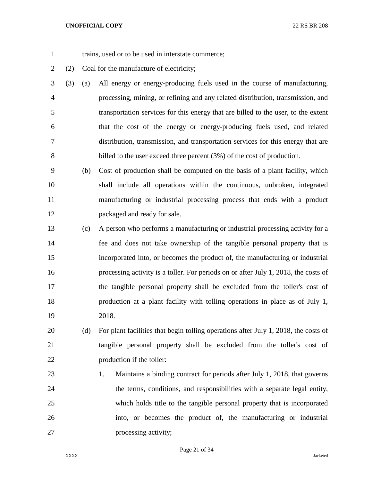- 1 trains, used or to be used in interstate commerce;
- (2) Coal for the manufacture of electricity;
- (3) (a) All energy or energy-producing fuels used in the course of manufacturing, processing, mining, or refining and any related distribution, transmission, and transportation services for this energy that are billed to the user, to the extent that the cost of the energy or energy-producing fuels used, and related distribution, transmission, and transportation services for this energy that are billed to the user exceed three percent (3%) of the cost of production.
- (b) Cost of production shall be computed on the basis of a plant facility, which shall include all operations within the continuous, unbroken, integrated manufacturing or industrial processing process that ends with a product packaged and ready for sale.
- (c) A person who performs a manufacturing or industrial processing activity for a fee and does not take ownership of the tangible personal property that is incorporated into, or becomes the product of, the manufacturing or industrial processing activity is a toller. For periods on or after July 1, 2018, the costs of the tangible personal property shall be excluded from the toller's cost of production at a plant facility with tolling operations in place as of July 1, 2018.
- (d) For plant facilities that begin tolling operations after July 1, 2018, the costs of tangible personal property shall be excluded from the toller's cost of production if the toller:
- 1. Maintains a binding contract for periods after July 1, 2018, that governs the terms, conditions, and responsibilities with a separate legal entity, which holds title to the tangible personal property that is incorporated into, or becomes the product of, the manufacturing or industrial processing activity;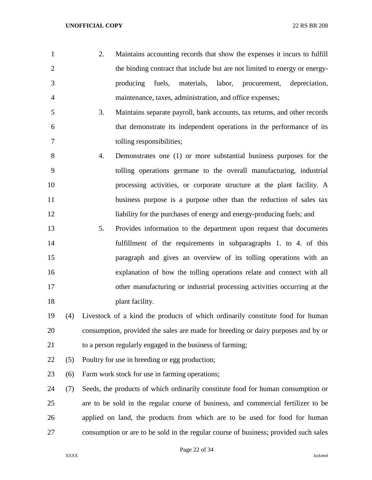- 2. Maintains accounting records that show the expenses it incurs to fulfill the binding contract that include but are not limited to energy or energy- producing fuels, materials, labor, procurement, depreciation, maintenance, taxes, administration, and office expenses; 3. Maintains separate payroll, bank accounts, tax returns, and other records that demonstrate its independent operations in the performance of its tolling responsibilities; 4. Demonstrates one (1) or more substantial business purposes for the tolling operations germane to the overall manufacturing, industrial
- processing activities, or corporate structure at the plant facility. A business purpose is a purpose other than the reduction of sales tax 12 liability for the purchases of energy and energy-producing fuels; and
- 5. Provides information to the department upon request that documents fulfillment of the requirements in subparagraphs 1. to 4. of this paragraph and gives an overview of its tolling operations with an explanation of how the tolling operations relate and connect with all other manufacturing or industrial processing activities occurring at the **plant** facility.
- (4) Livestock of a kind the products of which ordinarily constitute food for human consumption, provided the sales are made for breeding or dairy purposes and by or to a person regularly engaged in the business of farming;
- (5) Poultry for use in breeding or egg production;
- (6) Farm work stock for use in farming operations;

 (7) Seeds, the products of which ordinarily constitute food for human consumption or are to be sold in the regular course of business, and commercial fertilizer to be applied on land, the products from which are to be used for food for human consumption or are to be sold in the regular course of business; provided such sales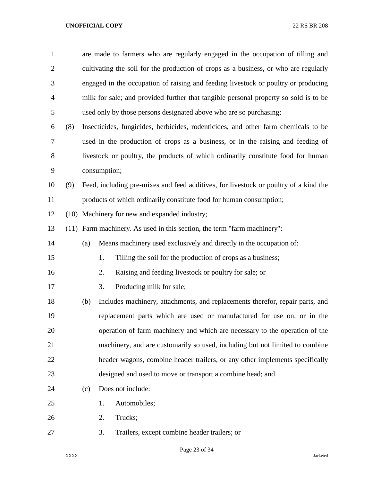| $\mathbf{1}$   |      |     | are made to farmers who are regularly engaged in the occupation of tilling and       |  |  |  |
|----------------|------|-----|--------------------------------------------------------------------------------------|--|--|--|
| $\overline{2}$ |      |     | cultivating the soil for the production of crops as a business, or who are regularly |  |  |  |
| 3              |      |     | engaged in the occupation of raising and feeding livestock or poultry or producing   |  |  |  |
| 4              |      |     | milk for sale; and provided further that tangible personal property so sold is to be |  |  |  |
| 5              |      |     | used only by those persons designated above who are so purchasing;                   |  |  |  |
| 6              | (8)  |     | Insecticides, fungicides, herbicides, rodenticides, and other farm chemicals to be   |  |  |  |
| $\tau$         |      |     | used in the production of crops as a business, or in the raising and feeding of      |  |  |  |
| 8              |      |     | livestock or poultry, the products of which ordinarily constitute food for human     |  |  |  |
| 9              |      |     | consumption;                                                                         |  |  |  |
| 10             | (9)  |     | Feed, including pre-mixes and feed additives, for livestock or poultry of a kind the |  |  |  |
| 11             |      |     | products of which ordinarily constitute food for human consumption;                  |  |  |  |
| 12             | (10) |     | Machinery for new and expanded industry;                                             |  |  |  |
| 13             |      |     | (11) Farm machinery. As used in this section, the term "farm machinery":             |  |  |  |
| 14             |      | (a) | Means machinery used exclusively and directly in the occupation of:                  |  |  |  |
| 15             |      |     | Tilling the soil for the production of crops as a business;<br>1.                    |  |  |  |
| 16             |      |     | Raising and feeding livestock or poultry for sale; or<br>2.                          |  |  |  |
| 17             |      |     | 3.<br>Producing milk for sale;                                                       |  |  |  |
| 18             |      | (b) | Includes machinery, attachments, and replacements therefor, repair parts, and        |  |  |  |
| 19             |      |     | replacement parts which are used or manufactured for use on, or in the               |  |  |  |
| 20             |      |     | operation of farm machinery and which are necessary to the operation of the          |  |  |  |
| 21             |      |     | machinery, and are customarily so used, including but not limited to combine         |  |  |  |
| 22             |      |     | header wagons, combine header trailers, or any other implements specifically         |  |  |  |
| 23             |      |     | designed and used to move or transport a combine head; and                           |  |  |  |
| 24             |      | (c) | Does not include:                                                                    |  |  |  |
| 25             |      |     | Automobiles;<br>1.                                                                   |  |  |  |
| 26             |      |     | 2.<br>Trucks;                                                                        |  |  |  |
| 27             |      |     | 3.<br>Trailers, except combine header trailers; or                                   |  |  |  |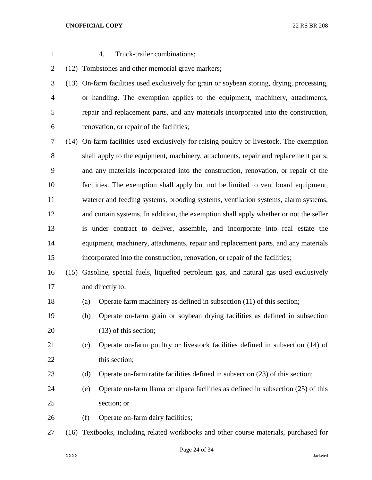- 
- 4. Truck-trailer combinations;

(12) Tombstones and other memorial grave markers;

 (13) On-farm facilities used exclusively for grain or soybean storing, drying, processing, or handling. The exemption applies to the equipment, machinery, attachments, repair and replacement parts, and any materials incorporated into the construction, renovation, or repair of the facilities;

 (14) On-farm facilities used exclusively for raising poultry or livestock. The exemption shall apply to the equipment, machinery, attachments, repair and replacement parts, and any materials incorporated into the construction, renovation, or repair of the facilities. The exemption shall apply but not be limited to vent board equipment, waterer and feeding systems, brooding systems, ventilation systems, alarm systems, and curtain systems. In addition, the exemption shall apply whether or not the seller is under contract to deliver, assemble, and incorporate into real estate the equipment, machinery, attachments, repair and replacement parts, and any materials incorporated into the construction, renovation, or repair of the facilities;

- (15) Gasoline, special fuels, liquefied petroleum gas, and natural gas used exclusively and directly to:
- (a) Operate farm machinery as defined in subsection (11) of this section;
- (b) Operate on-farm grain or soybean drying facilities as defined in subsection 20 (13) of this section;
- (c) Operate on-farm poultry or livestock facilities defined in subsection (14) of 22 this section;
- (d) Operate on-farm ratite facilities defined in subsection (23) of this section;
- (e) Operate on-farm llama or alpaca facilities as defined in subsection (25) of this section; or
- 26 (f) Operate on-farm dairy facilities;
- (16) Textbooks, including related workbooks and other course materials, purchased for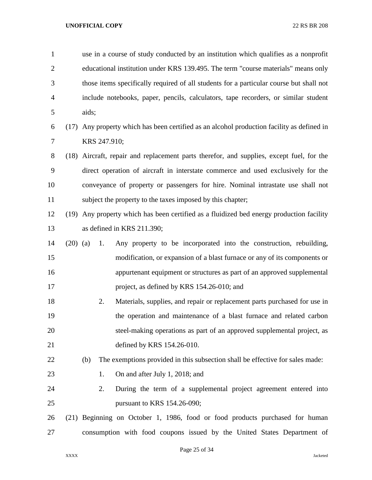| $\mathbf{1}$   |            |       |                                                                                         | use in a course of study conducted by an institution which qualifies as a nonprofit        |  |  |
|----------------|------------|-------|-----------------------------------------------------------------------------------------|--------------------------------------------------------------------------------------------|--|--|
| $\overline{2}$ |            |       | educational institution under KRS 139.495. The term "course materials" means only       |                                                                                            |  |  |
| 3              |            |       | those items specifically required of all students for a particular course but shall not |                                                                                            |  |  |
| $\overline{4}$ |            |       |                                                                                         | include notebooks, paper, pencils, calculators, tape recorders, or similar student         |  |  |
| 5              |            | aids; |                                                                                         |                                                                                            |  |  |
| 6              |            |       |                                                                                         | (17) Any property which has been certified as an alcohol production facility as defined in |  |  |
| 7              |            |       | KRS 247.910;                                                                            |                                                                                            |  |  |
| 8              |            |       |                                                                                         | (18) Aircraft, repair and replacement parts therefor, and supplies, except fuel, for the   |  |  |
| 9              |            |       |                                                                                         | direct operation of aircraft in interstate commerce and used exclusively for the           |  |  |
| 10             |            |       |                                                                                         | conveyance of property or passengers for hire. Nominal intrastate use shall not            |  |  |
| 11             |            |       |                                                                                         | subject the property to the taxes imposed by this chapter;                                 |  |  |
| 12             |            |       |                                                                                         | (19) Any property which has been certified as a fluidized bed energy production facility   |  |  |
| 13             |            |       |                                                                                         | as defined in KRS 211.390;                                                                 |  |  |
| 14             | $(20)$ (a) |       | 1.                                                                                      | Any property to be incorporated into the construction, rebuilding,                         |  |  |
| 15             |            |       |                                                                                         | modification, or expansion of a blast furnace or any of its components or                  |  |  |
| 16             |            |       |                                                                                         | appurtenant equipment or structures as part of an approved supplemental                    |  |  |
| 17             |            |       |                                                                                         | project, as defined by KRS 154.26-010; and                                                 |  |  |
| 18             |            |       | 2.                                                                                      | Materials, supplies, and repair or replacement parts purchased for use in                  |  |  |
| 19             |            |       |                                                                                         | the operation and maintenance of a blast furnace and related carbon                        |  |  |
| 20             |            |       |                                                                                         | steel-making operations as part of an approved supplemental project, as                    |  |  |
| 21             |            |       |                                                                                         | defined by KRS 154.26-010.                                                                 |  |  |
| 22             |            | (b)   |                                                                                         | The exemptions provided in this subsection shall be effective for sales made:              |  |  |
| 23             |            |       | 1.                                                                                      | On and after July 1, 2018; and                                                             |  |  |
| 24             |            |       | 2.                                                                                      | During the term of a supplemental project agreement entered into                           |  |  |
| 25             |            |       |                                                                                         | pursuant to KRS 154.26-090;                                                                |  |  |
| 26             |            |       |                                                                                         | (21) Beginning on October 1, 1986, food or food products purchased for human               |  |  |
| 27             |            |       |                                                                                         | consumption with food coupons issued by the United States Department of                    |  |  |

Page 25 of 34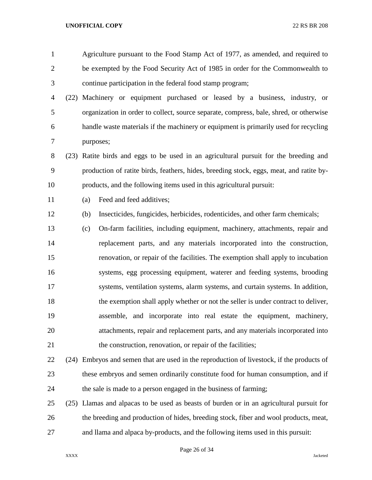Agriculture pursuant to the Food Stamp Act of 1977, as amended, and required to be exempted by the Food Security Act of 1985 in order for the Commonwealth to continue participation in the federal food stamp program; (22) Machinery or equipment purchased or leased by a business, industry, or organization in order to collect, source separate, compress, bale, shred, or otherwise handle waste materials if the machinery or equipment is primarily used for recycling purposes; (23) Ratite birds and eggs to be used in an agricultural pursuit for the breeding and production of ratite birds, feathers, hides, breeding stock, eggs, meat, and ratite by- products, and the following items used in this agricultural pursuit: (a) Feed and feed additives; (b) Insecticides, fungicides, herbicides, rodenticides, and other farm chemicals; (c) On-farm facilities, including equipment, machinery, attachments, repair and replacement parts, and any materials incorporated into the construction, renovation, or repair of the facilities. The exemption shall apply to incubation systems, egg processing equipment, waterer and feeding systems, brooding systems, ventilation systems, alarm systems, and curtain systems. In addition, the exemption shall apply whether or not the seller is under contract to deliver, assemble, and incorporate into real estate the equipment, machinery, attachments, repair and replacement parts, and any materials incorporated into 21 the construction, renovation, or repair of the facilities; (24) Embryos and semen that are used in the reproduction of livestock, if the products of these embryos and semen ordinarily constitute food for human consumption, and if the sale is made to a person engaged in the business of farming; (25) Llamas and alpacas to be used as beasts of burden or in an agricultural pursuit for the breeding and production of hides, breeding stock, fiber and wool products, meat, and llama and alpaca by-products, and the following items used in this pursuit:

Page 26 of 34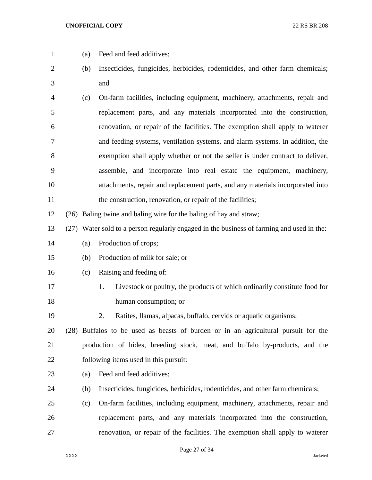- (a) Feed and feed additives;
- (b) Insecticides, fungicides, herbicides, rodenticides, and other farm chemicals; and
- (c) On-farm facilities, including equipment, machinery, attachments, repair and replacement parts, and any materials incorporated into the construction, renovation, or repair of the facilities. The exemption shall apply to waterer and feeding systems, ventilation systems, and alarm systems. In addition, the exemption shall apply whether or not the seller is under contract to deliver, assemble, and incorporate into real estate the equipment, machinery, attachments, repair and replacement parts, and any materials incorporated into 11 the construction, renovation, or repair of the facilities;
- (26) Baling twine and baling wire for the baling of hay and straw;
- (27) Water sold to a person regularly engaged in the business of farming and used in the:
- (a) Production of crops;
- (b) Production of milk for sale; or
- (c) Raising and feeding of:
- 1. Livestock or poultry, the products of which ordinarily constitute food for 18 human consumption; or
- 2. Ratites, llamas, alpacas, buffalo, cervids or aquatic organisms;
- (28) Buffalos to be used as beasts of burden or in an agricultural pursuit for the production of hides, breeding stock, meat, and buffalo by-products, and the following items used in this pursuit:
- 23 (a) Feed and feed additives:
- (b) Insecticides, fungicides, herbicides, rodenticides, and other farm chemicals;
- (c) On-farm facilities, including equipment, machinery, attachments, repair and replacement parts, and any materials incorporated into the construction, renovation, or repair of the facilities. The exemption shall apply to waterer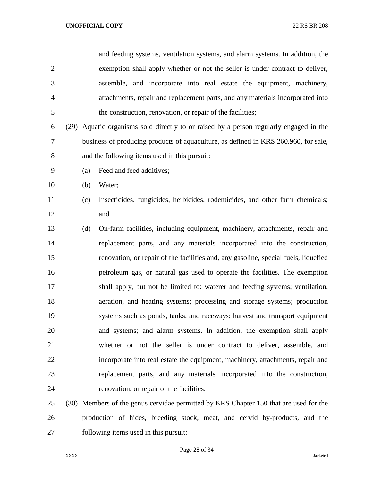| $\mathbf{1}$   |     | and feeding systems, ventilation systems, and alarm systems. In addition, the          |
|----------------|-----|----------------------------------------------------------------------------------------|
| $\overline{2}$ |     | exemption shall apply whether or not the seller is under contract to deliver,          |
| 3              |     | assemble, and incorporate into real estate the equipment, machinery,                   |
| $\overline{4}$ |     | attachments, repair and replacement parts, and any materials incorporated into         |
| 5              |     | the construction, renovation, or repair of the facilities;                             |
| 6              |     | (29) Aquatic organisms sold directly to or raised by a person regularly engaged in the |
| 7              |     | business of producing products of aquaculture, as defined in KRS 260.960, for sale,    |
| 8              |     | and the following items used in this pursuit:                                          |
| 9              | (a) | Feed and feed additives;                                                               |
| 10             | (b) | Water;                                                                                 |
| 11             | (c) | Insecticides, fungicides, herbicides, rodenticides, and other farm chemicals;          |
| 12             |     | and                                                                                    |
| 13             | (d) | On-farm facilities, including equipment, machinery, attachments, repair and            |
| 14             |     | replacement parts, and any materials incorporated into the construction,               |
| 15             |     | renovation, or repair of the facilities and, any gasoline, special fuels, liquefied    |
| 16             |     | petroleum gas, or natural gas used to operate the facilities. The exemption            |
| 17             |     | shall apply, but not be limited to: waterer and feeding systems; ventilation,          |
| 18             |     | aeration, and heating systems; processing and storage systems; production              |
| 19             |     | systems such as ponds, tanks, and raceways; harvest and transport equipment            |
| 20             |     | and systems; and alarm systems. In addition, the exemption shall apply                 |
| 21             |     | whether or not the seller is under contract to deliver, assemble, and                  |
| 22             |     | incorporate into real estate the equipment, machinery, attachments, repair and         |
| 23             |     | replacement parts, and any materials incorporated into the construction,               |
| 24             |     | renovation, or repair of the facilities;                                               |
|                |     |                                                                                        |

 (30) Members of the genus cervidae permitted by KRS Chapter 150 that are used for the production of hides, breeding stock, meat, and cervid by-products, and the following items used in this pursuit:

Page 28 of 34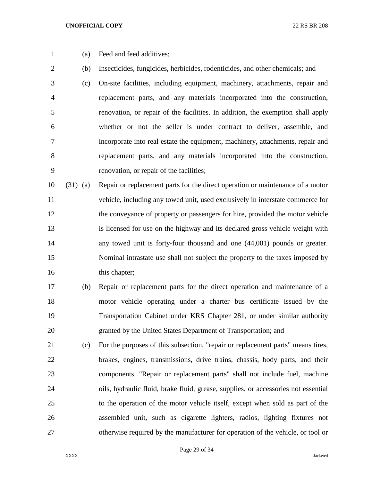- (a) Feed and feed additives;
- (b) Insecticides, fungicides, herbicides, rodenticides, and other chemicals; and
- (c) On-site facilities, including equipment, machinery, attachments, repair and replacement parts, and any materials incorporated into the construction, renovation, or repair of the facilities. In addition, the exemption shall apply whether or not the seller is under contract to deliver, assemble, and incorporate into real estate the equipment, machinery, attachments, repair and replacement parts, and any materials incorporated into the construction, renovation, or repair of the facilities;
- (31) (a) Repair or replacement parts for the direct operation or maintenance of a motor vehicle, including any towed unit, used exclusively in interstate commerce for the conveyance of property or passengers for hire, provided the motor vehicle is licensed for use on the highway and its declared gross vehicle weight with any towed unit is forty-four thousand and one (44,001) pounds or greater. Nominal intrastate use shall not subject the property to the taxes imposed by 16 this chapter;
- (b) Repair or replacement parts for the direct operation and maintenance of a motor vehicle operating under a charter bus certificate issued by the Transportation Cabinet under KRS Chapter 281, or under similar authority granted by the United States Department of Transportation; and
- (c) For the purposes of this subsection, "repair or replacement parts" means tires, brakes, engines, transmissions, drive trains, chassis, body parts, and their components. "Repair or replacement parts" shall not include fuel, machine oils, hydraulic fluid, brake fluid, grease, supplies, or accessories not essential to the operation of the motor vehicle itself, except when sold as part of the assembled unit, such as cigarette lighters, radios, lighting fixtures not otherwise required by the manufacturer for operation of the vehicle, or tool or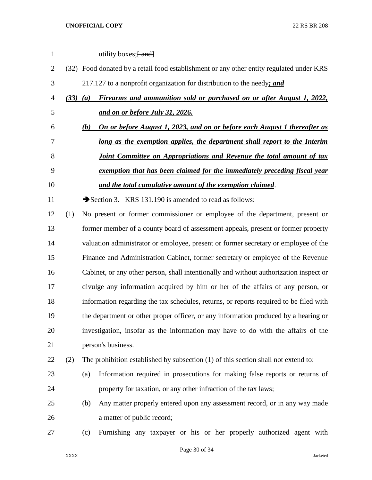| $\mathbf{1}$ |              | utility boxes; [ and]                                                                    |
|--------------|--------------|------------------------------------------------------------------------------------------|
| 2            |              | (32) Food donated by a retail food establishment or any other entity regulated under KRS |
| 3            |              | 217.127 to a nonprofit organization for distribution to the needy; and                   |
| 4            | $(33)$ $(a)$ | Firearms and ammunition sold or purchased on or after August 1, 2022,                    |
| 5            |              | and on or before July 31, 2026.                                                          |
| 6            |              | <u>On or before August 1, 2023, and on or before each August 1 thereafter as</u><br>(b)  |
| 7            |              | long as the exemption applies, the department shall report to the Interim                |
| 8            |              | Joint Committee on Appropriations and Revenue the total amount of tax                    |
| 9            |              | exemption that has been claimed for the immediately preceding fiscal year                |
| 10           |              | and the total cumulative amount of the exemption claimed.                                |
| 11           |              | Section 3. KRS 131.190 is amended to read as follows:                                    |
| 12           | (1)          | No present or former commissioner or employee of the department, present or              |
| 13           |              | former member of a county board of assessment appeals, present or former property        |
| 14           |              | valuation administrator or employee, present or former secretary or employee of the      |
| 15           |              | Finance and Administration Cabinet, former secretary or employee of the Revenue          |
| 16           |              | Cabinet, or any other person, shall intentionally and without authorization inspect or   |
| 17           |              | divulge any information acquired by him or her of the affairs of any person, or          |
| 18           |              | information regarding the tax schedules, returns, or reports required to be filed with   |
| 19           |              | the department or other proper officer, or any information produced by a hearing or      |
| 20           |              | investigation, insofar as the information may have to do with the affairs of the         |
| 21           |              | person's business.                                                                       |
| 22           | (2)          | The prohibition established by subsection (1) of this section shall not extend to:       |
| 23           |              | Information required in prosecutions for making false reports or returns of<br>(a)       |
| 24           |              | property for taxation, or any other infraction of the tax laws;                          |
| 25           |              | Any matter properly entered upon any assessment record, or in any way made<br>(b)        |
| 26           |              | a matter of public record;                                                               |
| 27           |              | Furnishing any taxpayer or his or her properly authorized agent with<br>(c)              |
|              |              |                                                                                          |

Page 30 of 34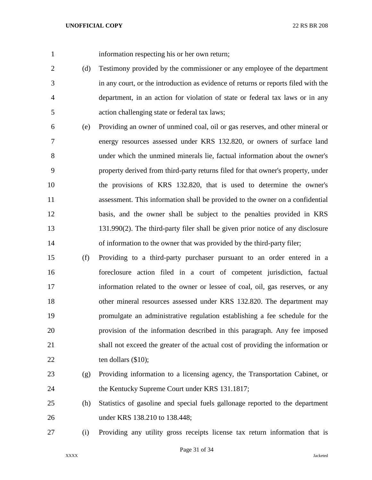information respecting his or her own return;

- (d) Testimony provided by the commissioner or any employee of the department in any court, or the introduction as evidence of returns or reports filed with the department, in an action for violation of state or federal tax laws or in any action challenging state or federal tax laws;
- (e) Providing an owner of unmined coal, oil or gas reserves, and other mineral or energy resources assessed under KRS 132.820, or owners of surface land under which the unmined minerals lie, factual information about the owner's property derived from third-party returns filed for that owner's property, under the provisions of KRS 132.820, that is used to determine the owner's assessment. This information shall be provided to the owner on a confidential basis, and the owner shall be subject to the penalties provided in KRS 131.990(2). The third-party filer shall be given prior notice of any disclosure of information to the owner that was provided by the third-party filer;
- (f) Providing to a third-party purchaser pursuant to an order entered in a foreclosure action filed in a court of competent jurisdiction, factual information related to the owner or lessee of coal, oil, gas reserves, or any other mineral resources assessed under KRS 132.820. The department may promulgate an administrative regulation establishing a fee schedule for the provision of the information described in this paragraph. Any fee imposed shall not exceed the greater of the actual cost of providing the information or 22 ten dollars (\$10);
- (g) Providing information to a licensing agency, the Transportation Cabinet, or 24 the Kentucky Supreme Court under KRS 131.1817;
- (h) Statistics of gasoline and special fuels gallonage reported to the department under KRS 138.210 to 138.448;
- 

(i) Providing any utility gross receipts license tax return information that is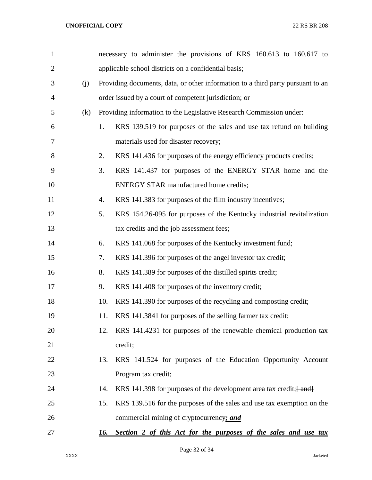| $\mathbf{1}$   |     | necessary to administer the provisions of KRS 160.613 to 160.617 to             |
|----------------|-----|---------------------------------------------------------------------------------|
| $\overline{2}$ |     | applicable school districts on a confidential basis;                            |
| 3              | (j) | Providing documents, data, or other information to a third party pursuant to an |
| 4              |     | order issued by a court of competent jurisdiction; or                           |
| 5              | (k) | Providing information to the Legislative Research Commission under:             |
| 6              |     | 1.<br>KRS 139.519 for purposes of the sales and use tax refund on building      |
| 7              |     | materials used for disaster recovery;                                           |
| 8              |     | KRS 141.436 for purposes of the energy efficiency products credits;<br>2.       |
| 9              |     | 3.<br>KRS 141.437 for purposes of the ENERGY STAR home and the                  |
| 10             |     | <b>ENERGY STAR manufactured home credits;</b>                                   |
| 11             |     | KRS 141.383 for purposes of the film industry incentives;<br>4.                 |
| 12             |     | 5.<br>KRS 154.26-095 for purposes of the Kentucky industrial revitalization     |
| 13             |     | tax credits and the job assessment fees;                                        |
| 14             |     | KRS 141.068 for purposes of the Kentucky investment fund;<br>6.                 |
| 15             |     | 7.<br>KRS 141.396 for purposes of the angel investor tax credit;                |
| 16             |     | 8.<br>KRS 141.389 for purposes of the distilled spirits credit;                 |
| 17             |     | KRS 141.408 for purposes of the inventory credit;<br>9.                         |
| 18             |     | KRS 141.390 for purposes of the recycling and composting credit;<br>10.         |
| 19             |     | 11.<br>KRS 141.3841 for purposes of the selling farmer tax credit;              |
| 20             |     | KRS 141.4231 for purposes of the renewable chemical production tax<br>12.       |
| 21             |     | credit;                                                                         |
| 22             |     | KRS 141.524 for purposes of the Education Opportunity Account<br>13.            |
| 23             |     | Program tax credit;                                                             |
| 24             |     | KRS 141.398 for purposes of the development area tax credit; [ and ]<br>14.     |
| 25             |     | KRS 139.516 for the purposes of the sales and use tax exemption on the<br>15.   |
| 26             |     | commercial mining of cryptocurrency; and                                        |
| 27             |     | Section 2 of this Act for the purposes of the sales and use tax<br>16.          |
|                |     |                                                                                 |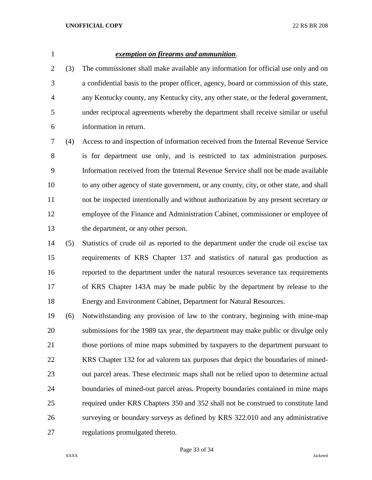### *exemption on firearms and ammunition*.

 (3) The commissioner shall make available any information for official use only and on a confidential basis to the proper officer, agency, board or commission of this state, any Kentucky county, any Kentucky city, any other state, or the federal government, under reciprocal agreements whereby the department shall receive similar or useful information in return.

 (4) Access to and inspection of information received from the Internal Revenue Service is for department use only, and is restricted to tax administration purposes. Information received from the Internal Revenue Service shall not be made available to any other agency of state government, or any county, city, or other state, and shall not be inspected intentionally and without authorization by any present secretary or employee of the Finance and Administration Cabinet, commissioner or employee of the department, or any other person.

 (5) Statistics of crude oil as reported to the department under the crude oil excise tax requirements of KRS Chapter 137 and statistics of natural gas production as reported to the department under the natural resources severance tax requirements of KRS Chapter 143A may be made public by the department by release to the Energy and Environment Cabinet, Department for Natural Resources.

 (6) Notwithstanding any provision of law to the contrary, beginning with mine-map submissions for the 1989 tax year, the department may make public or divulge only those portions of mine maps submitted by taxpayers to the department pursuant to KRS Chapter 132 for ad valorem tax purposes that depict the boundaries of mined- out parcel areas. These electronic maps shall not be relied upon to determine actual boundaries of mined-out parcel areas. Property boundaries contained in mine maps required under KRS Chapters 350 and 352 shall not be construed to constitute land surveying or boundary surveys as defined by KRS 322.010 and any administrative regulations promulgated thereto.